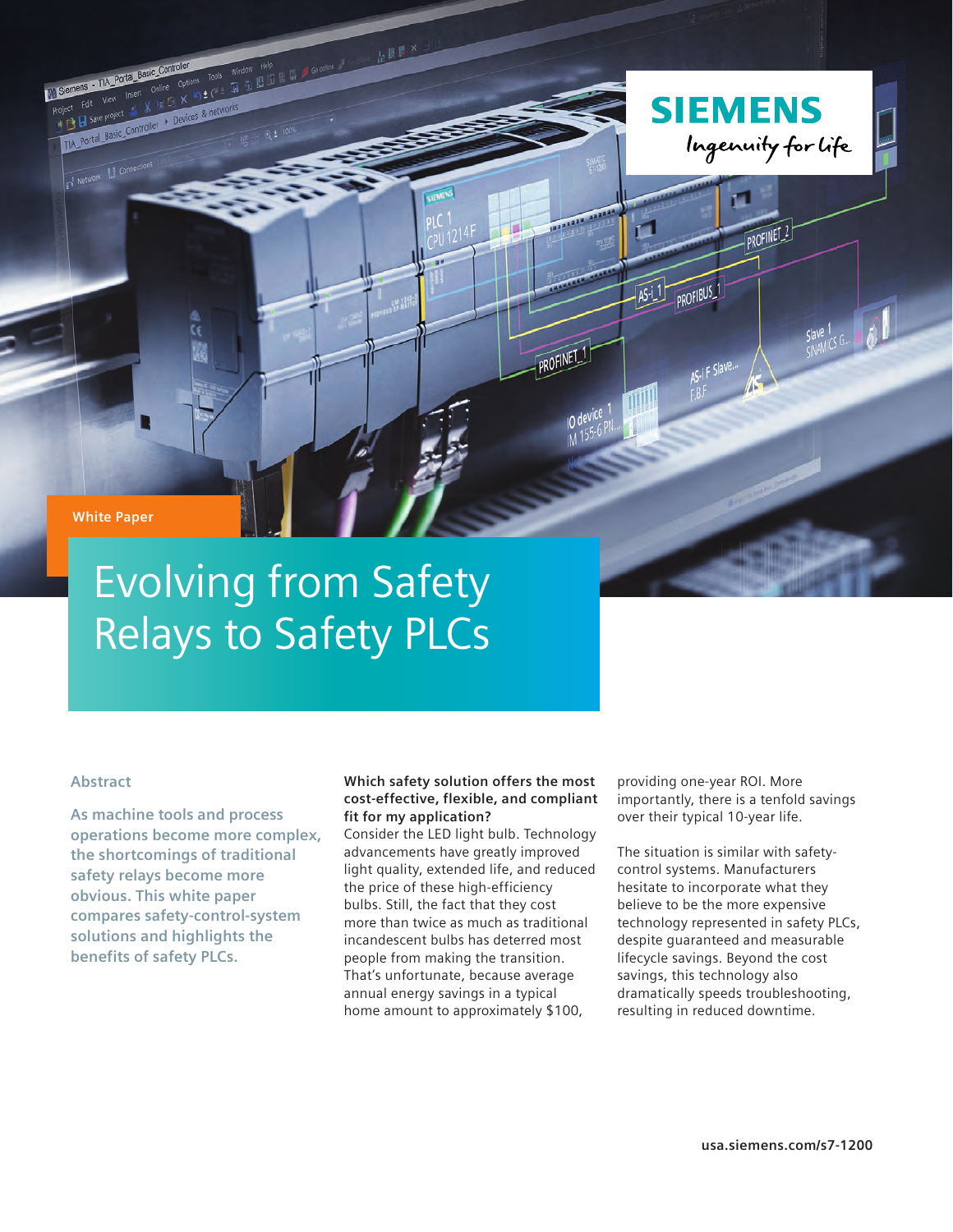**White Paper**

- TIA\_Portal\_Basic\_Co

I Network II Connection

The TIM Portal basic online Options 1005<br>Edit View Insert Online Options 1005<br>El save project = X is E X = 2 C = 1<br>El save project = X is E X = 2 netwo

THE Post Project S W Fig. Can New York Care Project S W Fig. Can New York Care Project S Project S Project S Project S Project S Project S Project S Project S Project S Project S Project S Project S Project S Project S Pro

# Evolving from Safety Relays to Safety PLCs

 $\ln \frac{\mu}{\lambda}$ 

Window Help<br>Window Help<br>Tel 3 El 15 El 15 af Goonline of

# **Abstract**

**As machine tools and process operations become more complex, the shortcomings of traditional safety relays become more obvious. This white paper compares safety-control-system solutions and highlights the benefits of safety PLCs.**

## **Which safety solution offers the most cost-effective, flexible, and compliant fit for my application?**

Consider the LED light bulb. Technology advancements have greatly improved light quality, extended life, and reduced the price of these high-efficiency bulbs. Still, the fact that they cost more than twice as much as traditional incandescent bulbs has deterred most people from making the transition. That's unfortunate, because average annual energy savings in a typical home amount to approximately \$100,

providing one-year ROI. More importantly, there is a tenfold savings over their typical 10-year life.

**SIEMENS** 

п

**122822 2228** 

PROFINET<sub>1</sub>

r1

TTU

PROFIBUS

Ingenuity for Life

PROFINET<sub>2</sub>

Slave 1<br>SINAMICS G.  $\blacksquare$ 

The situation is similar with safetycontrol systems. Manufacturers hesitate to incorporate what they believe to be the more expensive technology represented in safety PLCs, despite guaranteed and measurable lifecycle savings. Beyond the cost savings, this technology also dramatically speeds troubleshooting, resulting in reduced downtime.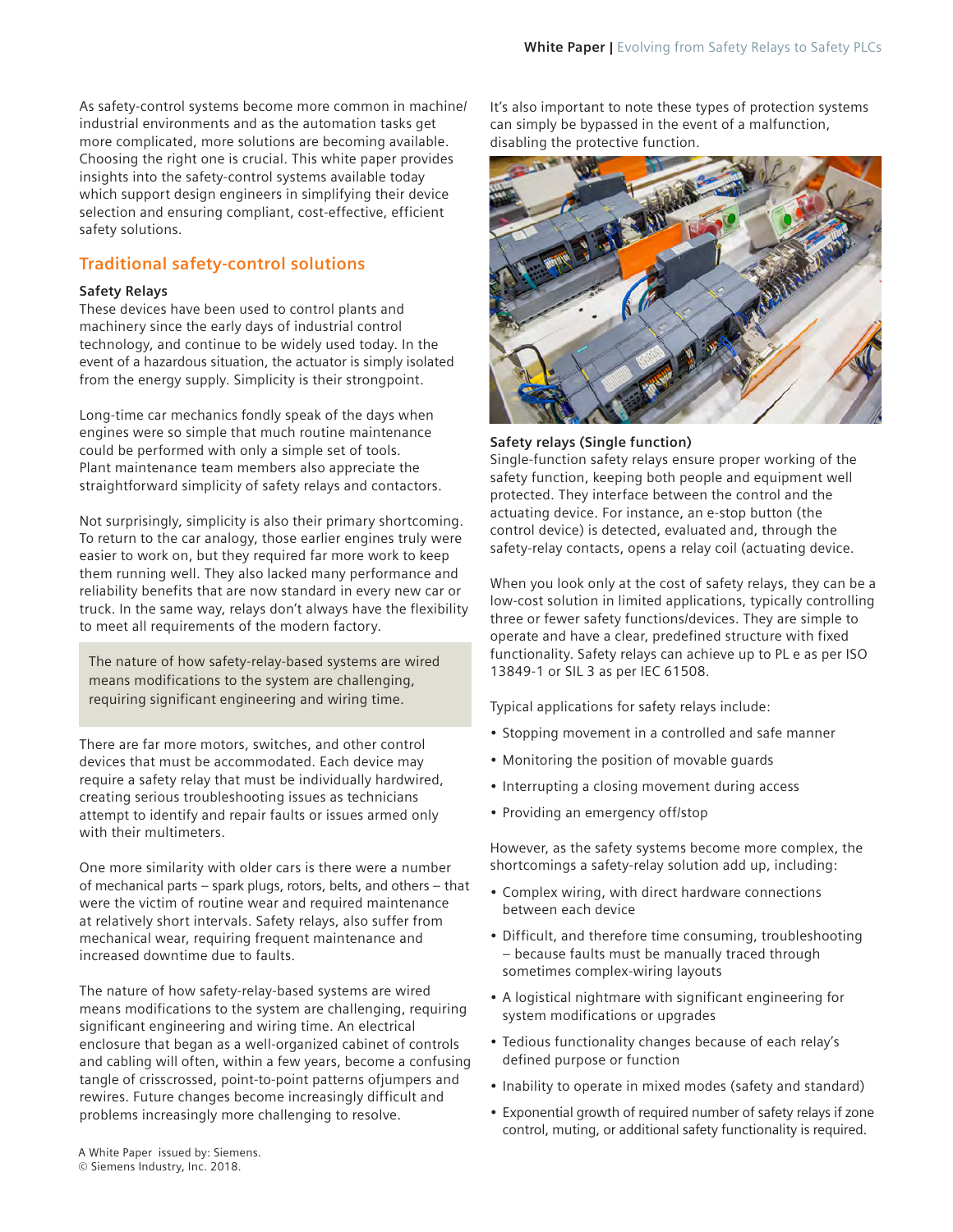As safety-control systems become more common in machine/ industrial environments and as the automation tasks get more complicated, more solutions are becoming available. Choosing the right one is crucial. This white paper provides insights into the safety-control systems available today which support design engineers in simplifying their device selection and ensuring compliant, cost-effective, efficient safety solutions.

# **Traditional safety-control solutions**

#### **Safety Relays**

These devices have been used to control plants and machinery since the early days of industrial control technology, and continue to be widely used today. In the event of a hazardous situation, the actuator is simply isolated from the energy supply. Simplicity is their strongpoint.

Long-time car mechanics fondly speak of the days when engines were so simple that much routine maintenance could be performed with only a simple set of tools. Plant maintenance team members also appreciate the straightforward simplicity of safety relays and contactors.

Not surprisingly, simplicity is also their primary shortcoming. To return to the car analogy, those earlier engines truly were easier to work on, but they required far more work to keep them running well. They also lacked many performance and reliability benefits that are now standard in every new car or truck. In the same way, relays don't always have the flexibility to meet all requirements of the modern factory.

The nature of how safety-relay-based systems are wired means modifications to the system are challenging, requiring significant engineering and wiring time.

There are far more motors, switches, and other control devices that must be accommodated. Each device may require a safety relay that must be individually hardwired, creating serious troubleshooting issues as technicians attempt to identify and repair faults or issues armed only with their multimeters.

One more similarity with older cars is there were a number of mechanical parts – spark plugs, rotors, belts, and others – that were the victim of routine wear and required maintenance at relatively short intervals. Safety relays, also suffer from mechanical wear, requiring frequent maintenance and increased downtime due to faults.

The nature of how safety-relay-based systems are wired means modifications to the system are challenging, requiring significant engineering and wiring time. An electrical enclosure that began as a well-organized cabinet of controls and cabling will often, within a few years, become a confusing tangle of crisscrossed, point-to-point patterns ofjumpers and rewires. Future changes become increasingly difficult and problems increasingly more challenging to resolve.

It's also important to note these types of protection systems can simply be bypassed in the event of a malfunction, disabling the protective function.



#### **Safety relays (Single function)**

Single-function safety relays ensure proper working of the safety function, keeping both people and equipment well protected. They interface between the control and the actuating device. For instance, an e-stop button (the control device) is detected, evaluated and, through the safety-relay contacts, opens a relay coil (actuating device.

When you look only at the cost of safety relays, they can be a low-cost solution in limited applications, typically controlling three or fewer safety functions/devices. They are simple to operate and have a clear, predefined structure with fixed functionality. Safety relays can achieve up to PL e as per ISO 13849-1 or SIL 3 as per IEC 61508.

Typical applications for safety relays include:

- Stopping movement in a controlled and safe manner
- Monitoring the position of movable guards
- Interrupting a closing movement during access
- Providing an emergency off/stop

However, as the safety systems become more complex, the shortcomings a safety-relay solution add up, including:

- Complex wiring, with direct hardware connections between each device
- Difficult, and therefore time consuming, troubleshooting ‒ because faults must be manually traced through sometimes complex-wiring layouts
- A logistical nightmare with significant engineering for system modifications or upgrades
- Tedious functionality changes because of each relay's defined purpose or function
- Inability to operate in mixed modes (safety and standard)
- Exponential growth of required number of safety relays if zone control, muting, or additional safety functionality is required.

A White Paper issued by: Siemens.

<sup>©</sup> Siemens Industry, Inc. 2018.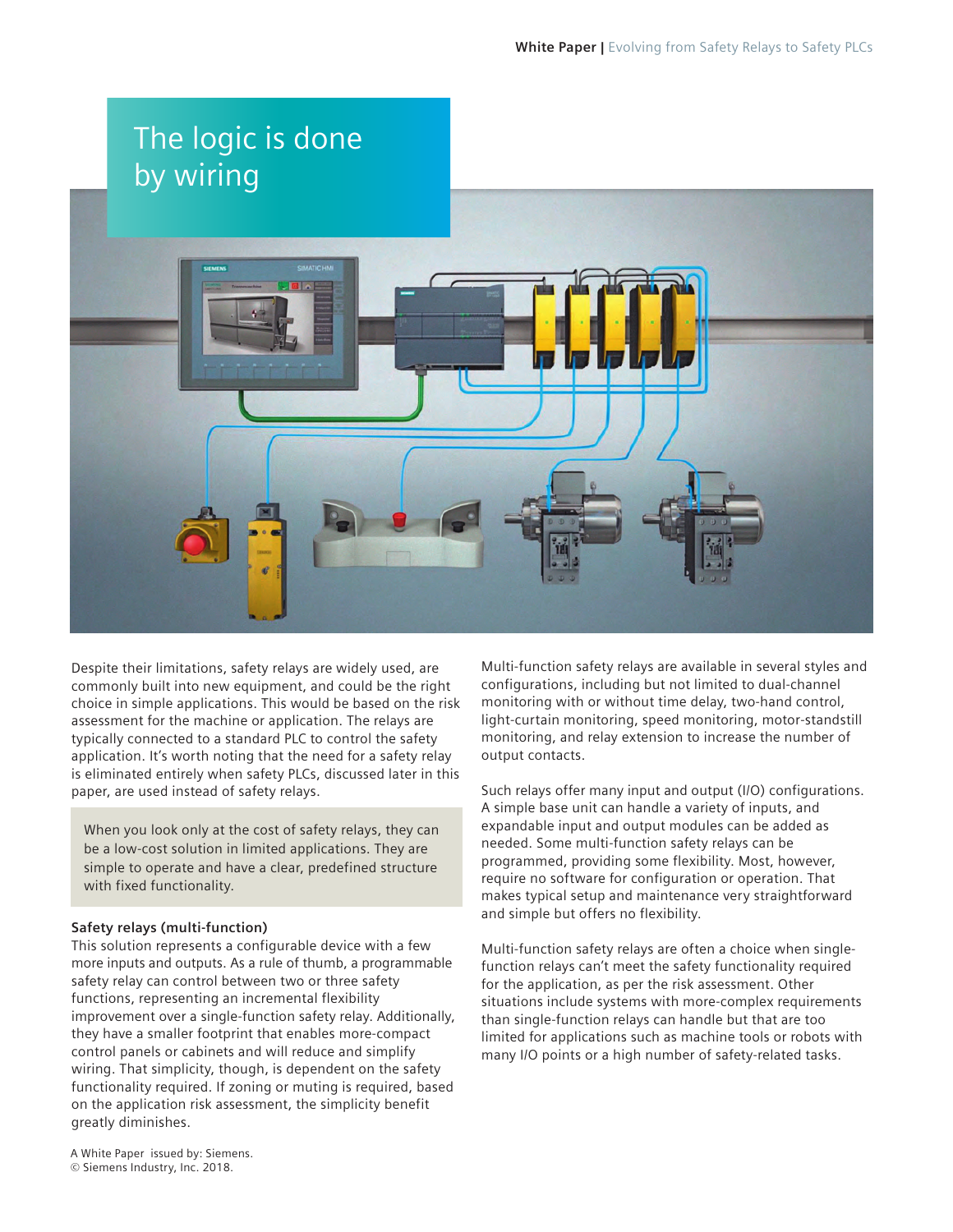

Despite their limitations, safety relays are widely used, are commonly built into new equipment, and could be the right choice in simple applications. This would be based on the risk assessment for the machine or application. The relays are typically connected to a standard PLC to control the safety application. It's worth noting that the need for a safety relay is eliminated entirely when safety PLCs, discussed later in this paper, are used instead of safety relays.

When you look only at the cost of safety relays, they can be a low-cost solution in limited applications. They are simple to operate and have a clear, predefined structure with fixed functionality.

## **Safety relays (multi-function)**

This solution represents a configurable device with a few more inputs and outputs. As a rule of thumb, a programmable safety relay can control between two or three safety functions, representing an incremental flexibility improvement over a single-function safety relay. Additionally, they have a smaller footprint that enables more-compact control panels or cabinets and will reduce and simplify wiring. That simplicity, though, is dependent on the safety functionality required. If zoning or muting is required, based on the application risk assessment, the simplicity benefit greatly diminishes.

Multi-function safety relays are available in several styles and configurations, including but not limited to dual-channel monitoring with or without time delay, two-hand control, light-curtain monitoring, speed monitoring, motor-standstill monitoring, and relay extension to increase the number of output contacts.

Such relays offer many input and output (I/O) configurations. A simple base unit can handle a variety of inputs, and expandable input and output modules can be added as needed. Some multi-function safety relays can be programmed, providing some flexibility. Most, however, require no software for configuration or operation. That makes typical setup and maintenance very straightforward and simple but offers no flexibility.

Multi-function safety relays are often a choice when singlefunction relays can't meet the safety functionality required for the application, as per the risk assessment. Other situations include systems with more-complex requirements than single-function relays can handle but that are too limited for applications such as machine tools or robots with many I/O points or a high number of safety-related tasks.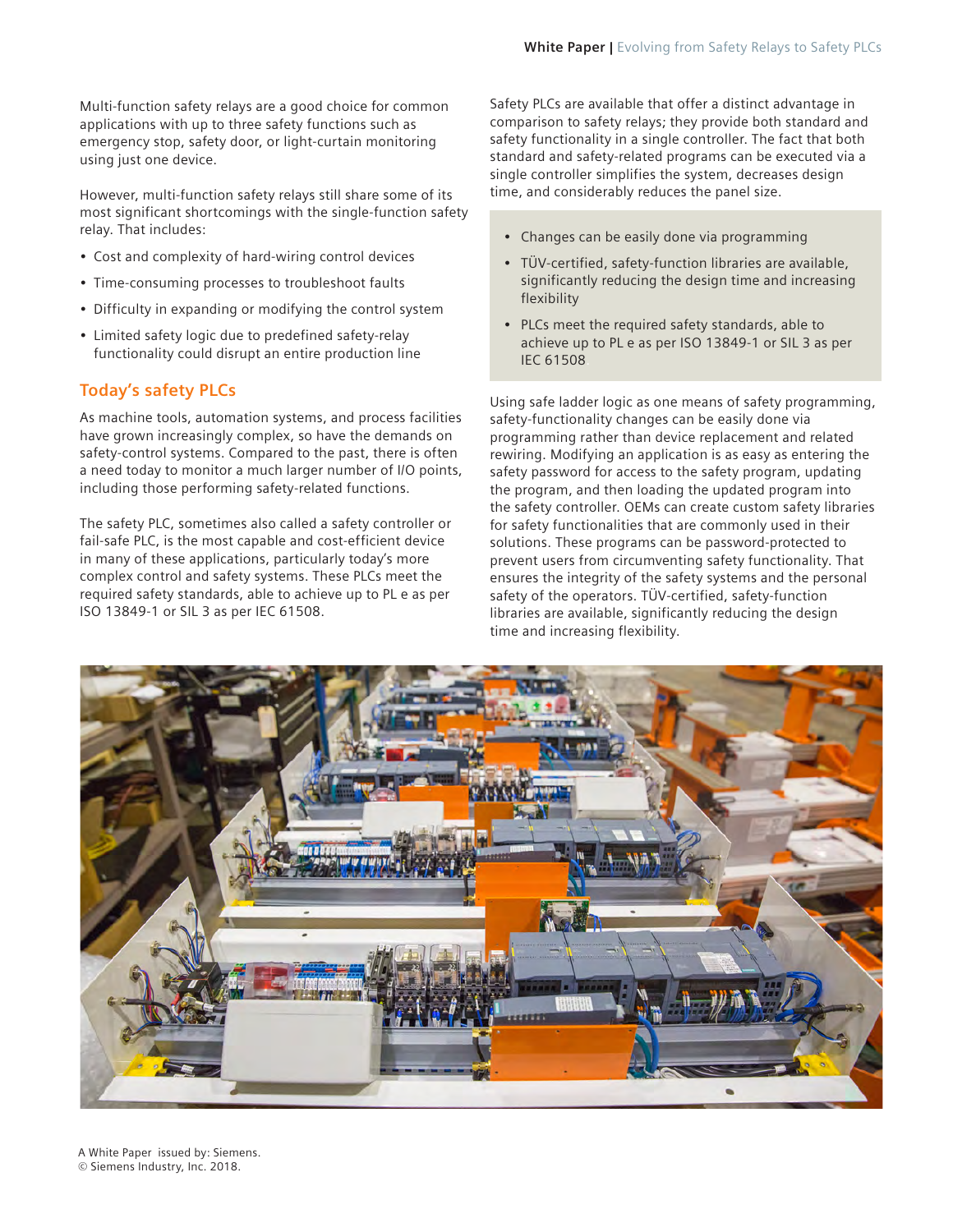Multi-function safety relays are a good choice for common applications with up to three safety functions such as emergency stop, safety door, or light-curtain monitoring using just one device.

However, multi-function safety relays still share some of its most significant shortcomings with the single-function safety relay. That includes:

- Cost and complexity of hard-wiring control devices
- Time-consuming processes to troubleshoot faults
- Difficulty in expanding or modifying the control system
- Limited safety logic due to predefined safety-relay functionality could disrupt an entire production line

# **Today's safety PLCs**

As machine tools, automation systems, and process facilities have grown increasingly complex, so have the demands on safety-control systems. Compared to the past, there is often a need today to monitor a much larger number of I/O points, including those performing safety-related functions.

The safety PLC, sometimes also called a safety controller or fail-safe PLC, is the most capable and cost-efficient device in many of these applications, particularly today's more complex control and safety systems. These PLCs meet the required safety standards, able to achieve up to PL e as per ISO 13849-1 or SIL 3 as per IEC 61508.

Safety PLCs are available that offer a distinct advantage in comparison to safety relays; they provide both standard and safety functionality in a single controller. The fact that both standard and safety-related programs can be executed via a single controller simplifies the system, decreases design time, and considerably reduces the panel size.

- Changes can be easily done via programming
- TÜV-certified, safety-function libraries are available, significantly reducing the design time and increasing flexibility
- PLCs meet the required safety standards, able to achieve up to PL e as per ISO 13849-1 or SIL 3 as per IEC 61508.

Using safe ladder logic as one means of safety programming, safety-functionality changes can be easily done via programming rather than device replacement and related rewiring. Modifying an application is as easy as entering the safety password for access to the safety program, updating the program, and then loading the updated program into the safety controller. OEMs can create custom safety libraries for safety functionalities that are commonly used in their solutions. These programs can be password-protected to prevent users from circumventing safety functionality. That ensures the integrity of the safety systems and the personal safety of the operators. TÜV-certified, safety-function libraries are available, significantly reducing the design time and increasing flexibility.

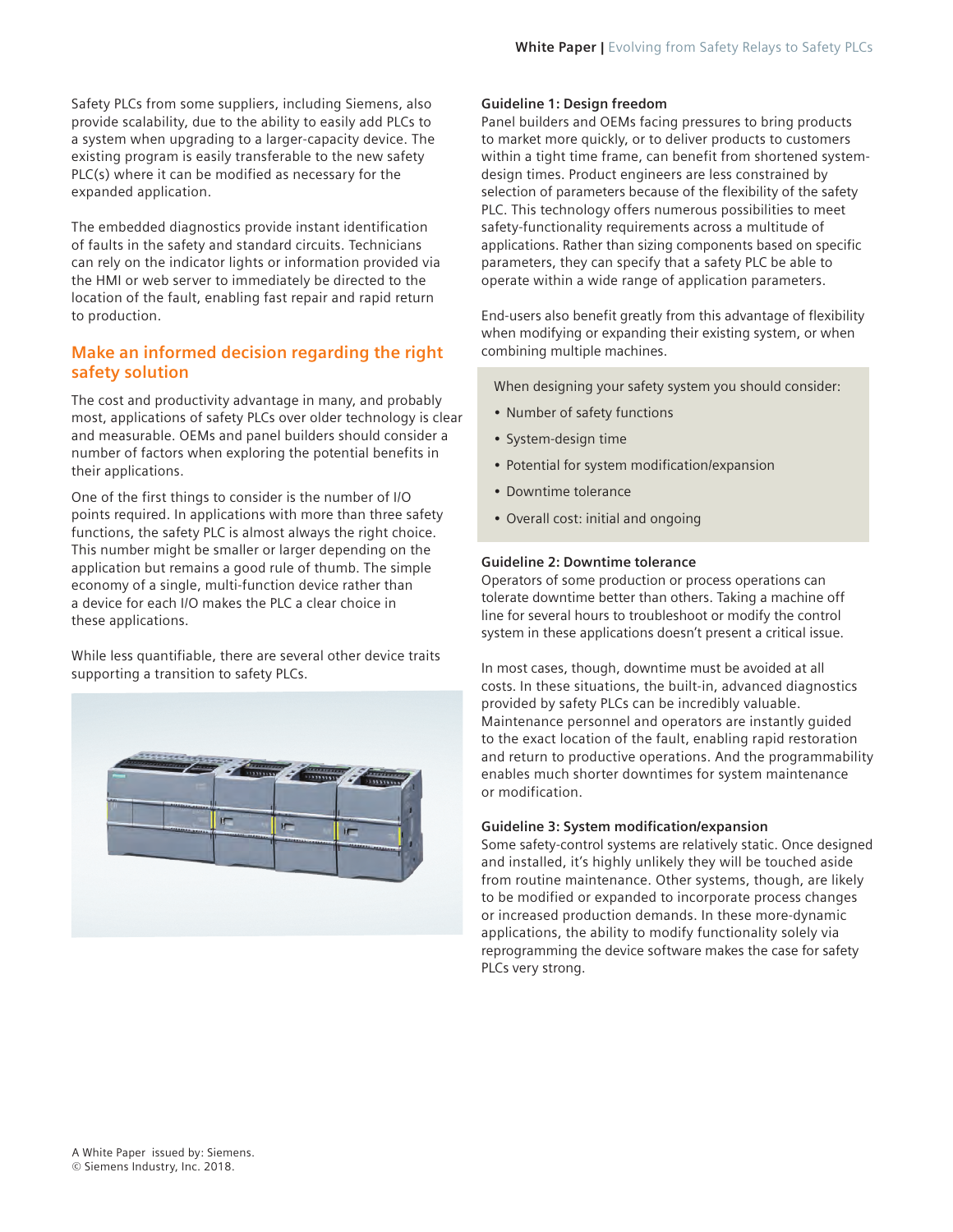Safety PLCs from some suppliers, including Siemens, also provide scalability, due to the ability to easily add PLCs to a system when upgrading to a larger-capacity device. The existing program is easily transferable to the new safety PLC(s) where it can be modified as necessary for the expanded application.

The embedded diagnostics provide instant identification of faults in the safety and standard circuits. Technicians can rely on the indicator lights or information provided via the HMI or web server to immediately be directed to the location of the fault, enabling fast repair and rapid return to production.

# **Make an informed decision regarding the right safety solution**

The cost and productivity advantage in many, and probably most, applications of safety PLCs over older technology is clear and measurable. OEMs and panel builders should consider a number of factors when exploring the potential benefits in their applications.

One of the first things to consider is the number of I/O points required. In applications with more than three safety functions, the safety PLC is almost always the right choice. This number might be smaller or larger depending on the application but remains a good rule of thumb. The simple economy of a single, multi-function device rather than a device for each I/O makes the PLC a clear choice in these applications.

While less quantifiable, there are several other device traits supporting a transition to safety PLCs.



# **Guideline 1: Design freedom**

Panel builders and OEMs facing pressures to bring products to market more quickly, or to deliver products to customers within a tight time frame, can benefit from shortened systemdesign times. Product engineers are less constrained by selection of parameters because of the flexibility of the safety PLC. This technology offers numerous possibilities to meet safety-functionality requirements across a multitude of applications. Rather than sizing components based on specific parameters, they can specify that a safety PLC be able to operate within a wide range of application parameters.

End-users also benefit greatly from this advantage of flexibility when modifying or expanding their existing system, or when combining multiple machines.

When designing your safety system you should consider:

- Number of safety functions
- System-design time
- Potential for system modification/expansion
- Downtime tolerance
- Overall cost: initial and ongoing

# **Guideline 2: Downtime tolerance**

Operators of some production or process operations can tolerate downtime better than others. Taking a machine off line for several hours to troubleshoot or modify the control system in these applications doesn't present a critical issue.

In most cases, though, downtime must be avoided at all costs. In these situations, the built-in, advanced diagnostics provided by safety PLCs can be incredibly valuable. Maintenance personnel and operators are instantly guided to the exact location of the fault, enabling rapid restoration and return to productive operations. And the programmability enables much shorter downtimes for system maintenance or modification.

## **Guideline 3: System modification/expansion**

Some safety-control systems are relatively static. Once designed and installed, it's highly unlikely they will be touched aside from routine maintenance. Other systems, though, are likely to be modified or expanded to incorporate process changes or increased production demands. In these more-dynamic applications, the ability to modify functionality solely via reprogramming the device software makes the case for safety PLCs very strong.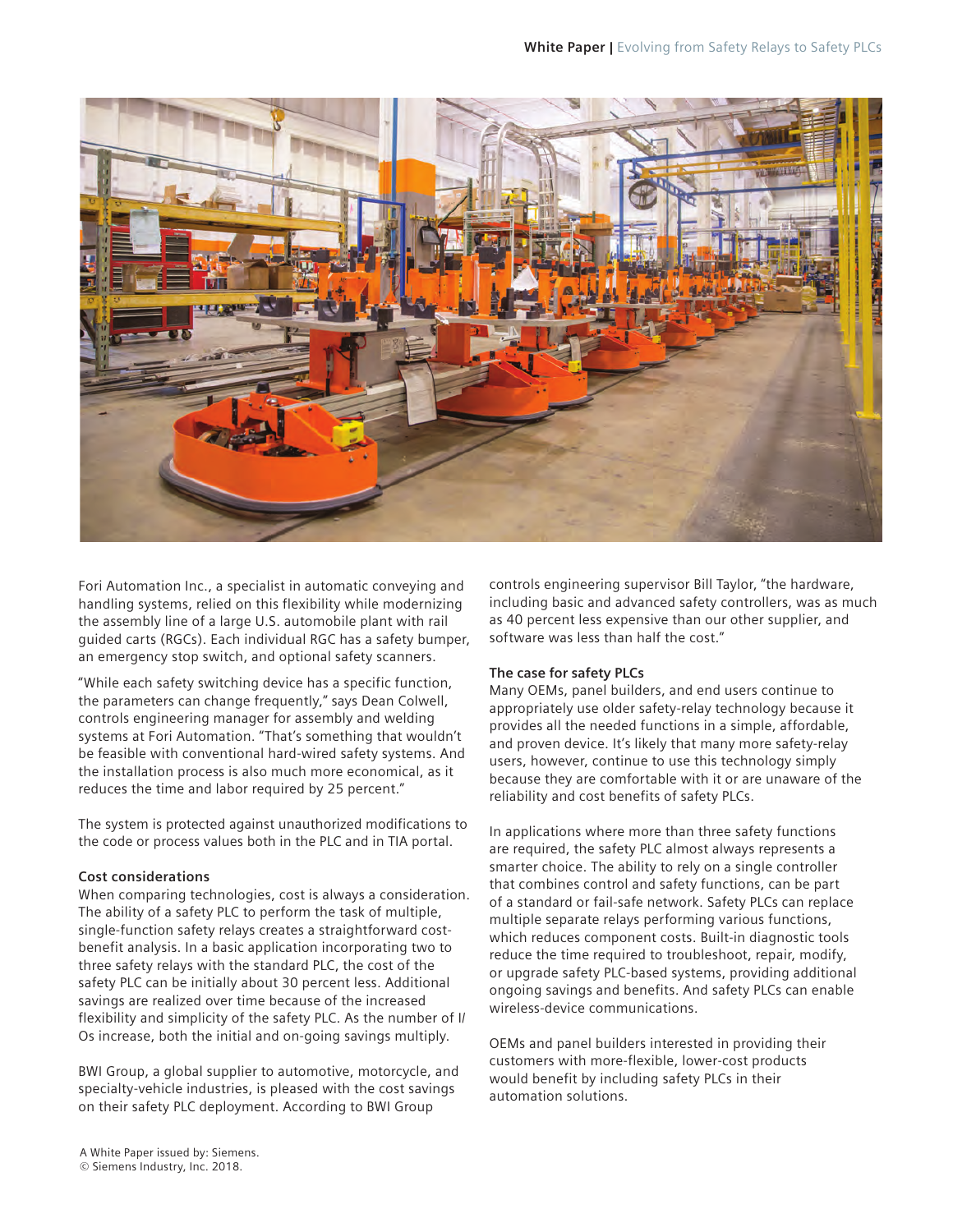

Fori Automation Inc., a specialist in automatic conveying and handling systems, relied on this flexibility while modernizing the assembly line of a large U.S. automobile plant with rail guided carts (RGCs). Each individual RGC has a safety bumper, an emergency stop switch, and optional safety scanners.

"While each safety switching device has a specific function, the parameters can change frequently," says Dean Colwell, controls engineering manager for assembly and welding systems at Fori Automation. "That's something that wouldn't be feasible with conventional hard-wired safety systems. And the installation process is also much more economical, as it reduces the time and labor required by 25 percent."

The system is protected against unauthorized modifications to the code or process values both in the PLC and in TIA portal.

## **Cost considerations**

When comparing technologies, cost is always a consideration. The ability of a safety PLC to perform the task of multiple, single-function safety relays creates a straightforward costbenefit analysis. In a basic application incorporating two to three safety relays with the standard PLC, the cost of the safety PLC can be initially about 30 percent less. Additional savings are realized over time because of the increased flexibility and simplicity of the safety PLC. As the number of I/ Os increase, both the initial and on-going savings multiply.

BWI Group, a global supplier to automotive, motorcycle, and specialty-vehicle industries, is pleased with the cost savings on their safety PLC deployment. According to BWI Group

controls engineering supervisor Bill Taylor, "the hardware, including basic and advanced safety controllers, was as much as 40 percent less expensive than our other supplier, and software was less than half the cost."

## **The case for safety PLCs**

Many OEMs, panel builders, and end users continue to appropriately use older safety-relay technology because it provides all the needed functions in a simple, affordable, and proven device. It's likely that many more safety-relay users, however, continue to use this technology simply because they are comfortable with it or are unaware of the reliability and cost benefits of safety PLCs.

In applications where more than three safety functions are required, the safety PLC almost always represents a smarter choice. The ability to rely on a single controller that combines control and safety functions, can be part of a standard or fail-safe network. Safety PLCs can replace multiple separate relays performing various functions, which reduces component costs. Built-in diagnostic tools reduce the time required to troubleshoot, repair, modify, or upgrade safety PLC-based systems, providing additional ongoing savings and benefits. And safety PLCs can enable wireless-device communications.

OEMs and panel builders interested in providing their customers with more-flexible, lower-cost products would benefit by including safety PLCs in their automation solutions.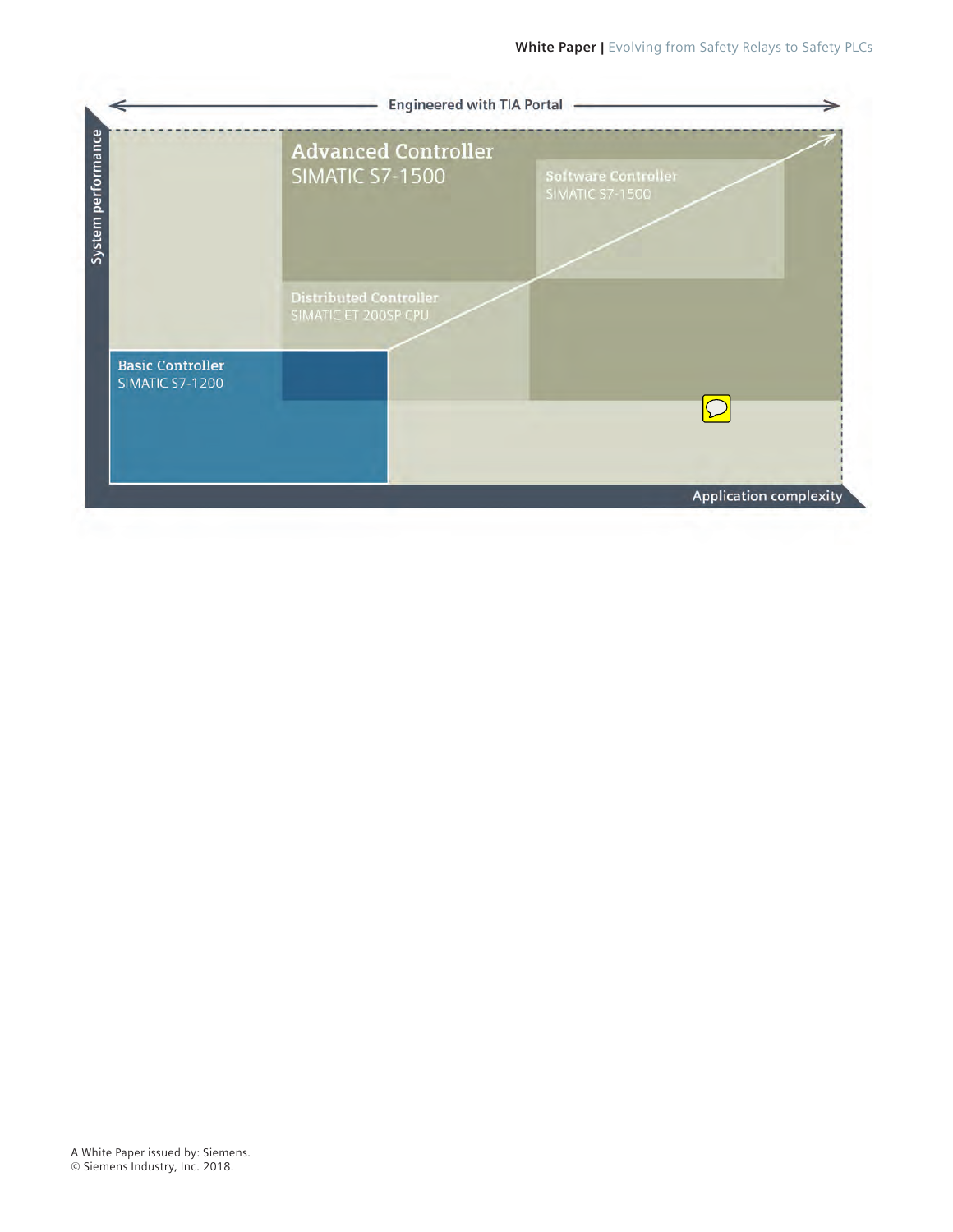